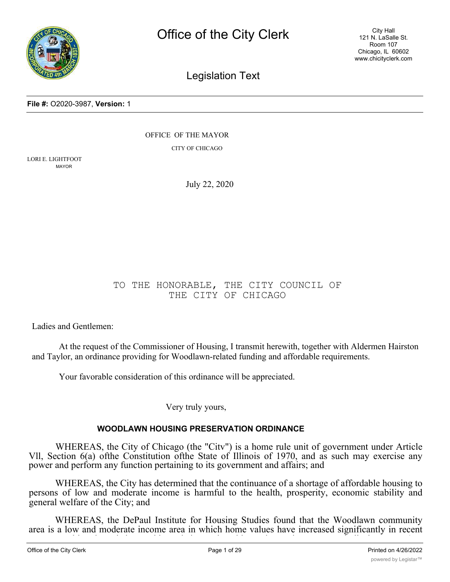

City Hall 121 N. LaSalle St. Room 107 Chicago, IL 60602 www.chicityclerk.com

# Legislation Text

**File #:** O2020-3987, **Version:** 1

OFFICE OF THE MAYOR

CITY OF CHICAGO

LORI E. LIGHTFOOT MAYOR

July 22, 2020

# TO THE HONORABLE, THE CITY COUNCIL OF THE CITY OF CHICAGO

Ladies and Gentlemen:

At the request of the Commissioner of Housing, I transmit herewith, together with Aldermen Hairston and Taylor, an ordinance providing for Woodlawn-related funding and affordable requirements.

Your favorable consideration of this ordinance will be appreciated.

Very truly yours,

# **WOODLAWN HOUSING PRESERVATION ORDINANCE**

WHEREAS, the City of Chicago (the "Citv") is a home rule unit of government under Article Vll, Section 6(a) ofthe Constitution ofthe State of Illinois of 1970, and as such may exercise any power and perform any function pertaining to its government and affairs; and

WHEREAS, the City has determined that the continuance of a shortage of affordable housing to persons of low and moderate income is harmful to the health, prosperity, economic stability and general welfare of the City; and

WHEREAS, the DePaul Institute for Housing Studies found that the Woodlawn community area is a low and moderate income area in which home values have increased significantly in recent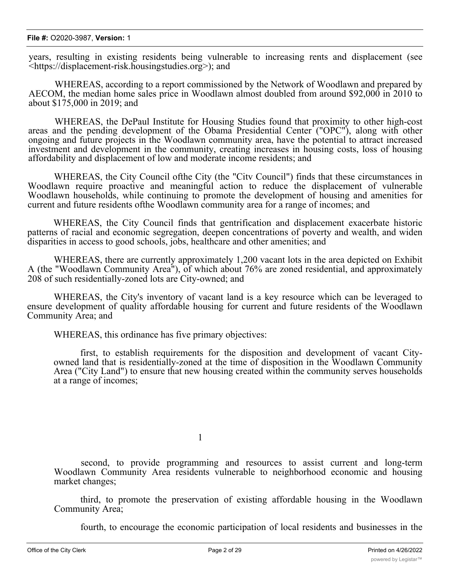#### **File #:** O2020-3987, **Version:** 1

years, resulting in existing residents being vulnerable to increasing rents and displacement (see <https://displacement-risk.housingstudies.org>); and

WHEREAS, according to a report commissioned by the Network of Woodlawn and prepared by AECOM, the median home sales price in Woodlawn almost doubled from around \$92,000 in 2010 to about \$175,000 in 2019; and

WHEREAS, the DePaul Institute for Housing Studies found that proximity to other high-cost areas and the pending development of the Obama Presidential Center ("OPC"), along with other ongoing and future projects in the Woodlawn community area, have the potential to attract increased investment and development in the community, creating increases in housing costs, loss of housing affordability and displacement of low and moderate income residents; and

WHEREAS, the City Council ofthe City (the "Citv Council") finds that these circumstances in Woodlawn require proactive and meaningful action to reduce the displacement of vulnerable Woodlawn households, while continuing to promote the development of housing and amenities for current and future residents ofthe Woodlawn community area for a range of incomes; and

WHEREAS, the City Council finds that gentrification and displacement exacerbate historic patterns of racial and economic segregation, deepen concentrations of poverty and wealth, and widen disparities in access to good schools, jobs, healthcare and other amenities; and

WHEREAS, there are currently approximately 1,200 vacant lots in the area depicted on Exhibit A (the "Woodlawn Community Area"), of which about 76% are zoned residential, and approximately 208 of such residentially-zoned lots are City-owned; and

WHEREAS, the City's inventory of vacant land is a key resource which can be leveraged to ensure development of quality affordable housing for current and future residents of the Woodlawn Community Area; and

WHEREAS, this ordinance has five primary objectives:

first, to establish requirements for the disposition and development of vacant Cityowned land that is residentially-zoned at the time of disposition in the Woodlawn Community Area ("City Land") to ensure that new housing created within the community serves households at a range of incomes;

1

second, to provide programming and resources to assist current and long-term Woodlawn Community Area residents vulnerable to neighborhood economic and housing market changes;

third, to promote the preservation of existing affordable housing in the Woodlawn Community Area;

fourth, to encourage the economic participation of local residents and businesses in the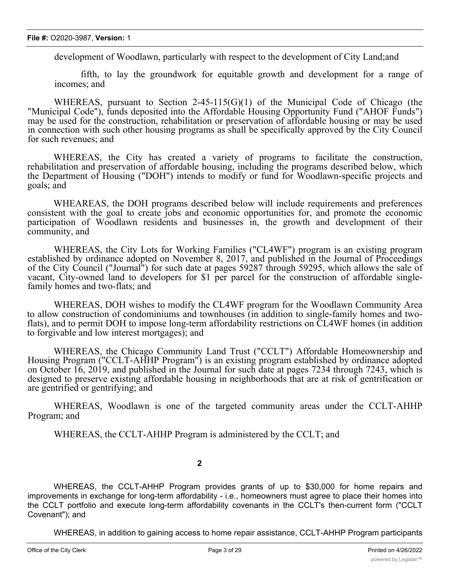development of Woodlawn, particularly with respect to the development of City Land;and

fifth, to lay the groundwork for equitable growth and development for a range of incomes; and

WHEREAS, pursuant to Section 2-45-115(G)(1) of the Municipal Code of Chicago (the "Municipal Code"), funds deposited into the Affordable Housing Opportunity Fund ("AHOF Funds") may be used for the construction, rehabilitation or preservation of affordable housing or may be used in connection with such other housing programs as shall be specifically approved by the City Council for such revenues; and

WHEREAS, the City has created a variety of programs to facilitate the construction, rehabilitation and preservation of affordable housing, including the programs described below, which the Department of Housing ("DOH") intends to modify or fund for Woodlawn-specific projects and goals; and

WHEAREAS, the DOH programs described below will include requirements and preferences consistent with the goal to create jobs and economic opportunities for, and promote the economic participation of Woodlawn residents and businesses in, the growth and development of their community, and

WHEREAS, the City Lots for Working Families ("CL4WF") program is an existing program established by ordinance adopted on November 8, 2017, and published in the Journal of Proceedings of the City Council ("Journal") for such date at pages 59287 through 59295, which allows the sale of vacant, City-owned land to developers for \$1 per parcel for the construction of affordable singlefamily homes and two-flats; and

WHEREAS, DOH wishes to modify the CL4WF program for the Woodlawn Community Area to allow construction of condominiums and townhouses (in addition to single-family homes and twoflats), and to permit DOH to impose long-term affordability restrictions on CL4WF homes (in addition to forgivable and low interest mortgages); and

WHEREAS, the Chicago Community Land Trust ("CCLT") Affordable Homeownership and Housing Program ("CCLT-AHHP Program") is an existing program established by ordinance adopted on October 16, 2019, and published in the Journal for such date at pages 7234 through 7243, which is designed to preserve existing affordable housing in neighborhoods that are at risk of gentrification or are gentrified or gentrifying; and

WHEREAS, Woodlawn is one of the targeted community areas under the CCLT-AHHP Program; and

WHEREAS, the CCLT-AHHP Program is administered by the CCLT; and

**2**

WHEREAS, the CCLT-AHHP Program provides grants of up to \$30,000 for home repairs and improvements in exchange for long-term affordability - i.e., homeowners must agree to place their homes into the CCLT portfolio and execute long-term affordability covenants in the CCLT's then-current form ("CCLT Covenant"); and

WHEREAS, in addition to gaining access to home repair assistance, CCLT-AHHP Program participants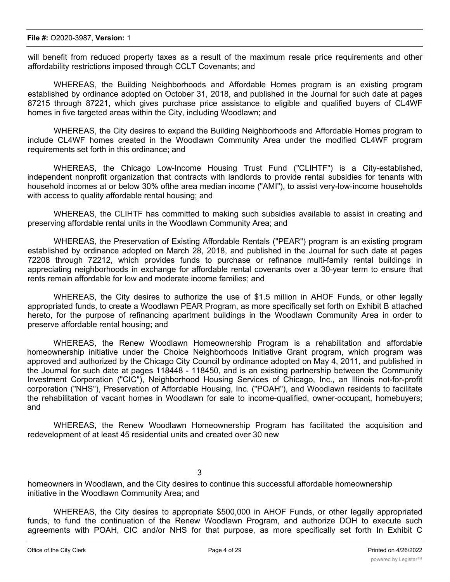will benefit from reduced property taxes as a result of the maximum resale price requirements and other affordability restrictions imposed through CCLT Covenants; and

WHEREAS, the Building Neighborhoods and Affordable Homes program is an existing program established by ordinance adopted on October 31, 2018, and published in the Journal for such date at pages 87215 through 87221, which gives purchase price assistance to eligible and qualified buyers of CL4WF homes in five targeted areas within the City, including Woodlawn; and

WHEREAS, the City desires to expand the Building Neighborhoods and Affordable Homes program to include CL4WF homes created in the Woodlawn Community Area under the modified CL4WF program requirements set forth in this ordinance; and

WHEREAS, the Chicago Low-Income Housing Trust Fund ("CLIHTF") is a City-established, independent nonprofit organization that contracts with landlords to provide rental subsidies for tenants with household incomes at or below 30% ofthe area median income ("AMI"), to assist very-low-income households with access to quality affordable rental housing; and

WHEREAS, the CLIHTF has committed to making such subsidies available to assist in creating and preserving affordable rental units in the Woodlawn Community Area; and

WHEREAS, the Preservation of Existing Affordable Rentals ("PEAR") program is an existing program established by ordinance adopted on March 28, 2018, and published in the Journal for such date at pages 72208 through 72212, which provides funds to purchase or refinance multi-family rental buildings in appreciating neighborhoods in exchange for affordable rental covenants over a 30-year term to ensure that rents remain affordable for low and moderate income families; and

WHEREAS, the City desires to authorize the use of \$1.5 million in AHOF Funds, or other legally appropriated funds, to create a Woodlawn PEAR Program, as more specifically set forth on Exhibit B attached hereto, for the purpose of refinancing apartment buildings in the Woodlawn Community Area in order to preserve affordable rental housing; and

WHEREAS, the Renew Woodlawn Homeownership Program is a rehabilitation and affordable homeownership initiative under the Choice Neighborhoods Initiative Grant program, which program was approved and authorized by the Chicago City Council by ordinance adopted on May 4, 2011, and published in the Journal for such date at pages 118448 - 118450, and is an existing partnership between the Community Investment Corporation ("CIC"), Neighborhood Housing Services of Chicago, Inc., an Illinois not-for-profit corporation ("NHS"), Preservation of Affordable Housing, Inc. ("POAH"), and Woodlawn residents to facilitate the rehabilitation of vacant homes in Woodlawn for sale to income-qualified, owner-occupant, homebuyers; and

WHEREAS, the Renew Woodlawn Homeownership Program has facilitated the acquisition and redevelopment of at least 45 residential units and created over 30 new

3

homeowners in Woodlawn, and the City desires to continue this successful affordable homeownership initiative in the Woodlawn Community Area; and

WHEREAS, the City desires to appropriate \$500,000 in AHOF Funds, or other legally appropriated funds, to fund the continuation of the Renew Woodlawn Program, and authorize DOH to execute such agreements with POAH, CIC and/or NHS for that purpose, as more specifically set forth In Exhibit C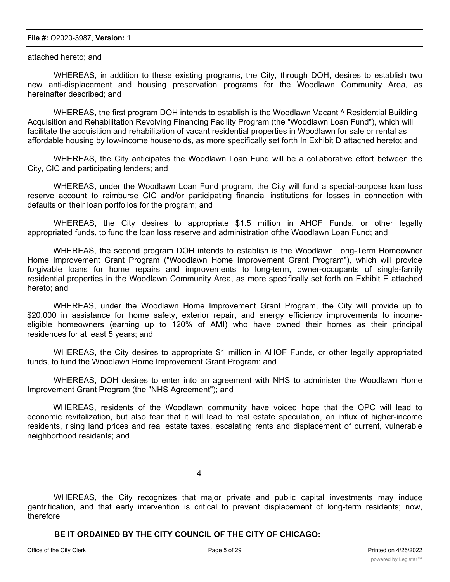#### **File #:** O2020-3987, **Version:** 1

#### attached hereto; and

WHEREAS, in addition to these existing programs, the City, through DOH, desires to establish two new anti-displacement and housing preservation programs for the Woodlawn Community Area, as hereinafter described; and

WHEREAS, the first program DOH intends to establish is the Woodlawn Vacant  $\wedge$  Residential Building Acquisition and Rehabilitation Revolving Financing Facility Program (the "Woodlawn Loan Fund"), which will facilitate the acquisition and rehabilitation of vacant residential properties in Woodlawn for sale or rental as affordable housing by low-income households, as more specifically set forth In Exhibit D attached hereto; and

WHEREAS, the City anticipates the Woodlawn Loan Fund will be a collaborative effort between the City, CIC and participating lenders; and

WHEREAS, under the Woodlawn Loan Fund program, the City will fund a special-purpose loan loss reserve account to reimburse CIC and/or participating financial institutions for losses in connection with defaults on their loan portfolios for the program; and

WHEREAS, the City desires to appropriate \$1.5 million in AHOF Funds, or other legally appropriated funds, to fund the loan loss reserve and administration ofthe Woodlawn Loan Fund; and

WHEREAS, the second program DOH intends to establish is the Woodlawn Long-Term Homeowner Home Improvement Grant Program ("Woodlawn Home Improvement Grant Program"), which will provide forgivable loans for home repairs and improvements to long-term, owner-occupants of single-family residential properties in the Woodlawn Community Area, as more specifically set forth on Exhibit E attached hereto; and

WHEREAS, under the Woodlawn Home Improvement Grant Program, the City will provide up to \$20,000 in assistance for home safety, exterior repair, and energy efficiency improvements to incomeeligible homeowners (earning up to 120% of AMI) who have owned their homes as their principal residences for at least 5 years; and

WHEREAS, the City desires to appropriate \$1 million in AHOF Funds, or other legally appropriated funds, to fund the Woodlawn Home Improvement Grant Program; and

WHEREAS, DOH desires to enter into an agreement with NHS to administer the Woodlawn Home Improvement Grant Program (the "NHS Agreement"); and

WHEREAS, residents of the Woodlawn community have voiced hope that the OPC will lead to economic revitalization, but also fear that it will lead to real estate speculation, an influx of higher-income residents, rising land prices and real estate taxes, escalating rents and displacement of current, vulnerable neighborhood residents; and

4

WHEREAS, the City recognizes that major private and public capital investments may induce gentrification, and that early intervention is critical to prevent displacement of long-term residents; now, therefore

**BE IT ORDAINED BY THE CITY COUNCIL OF THE CITY OF CHICAGO:**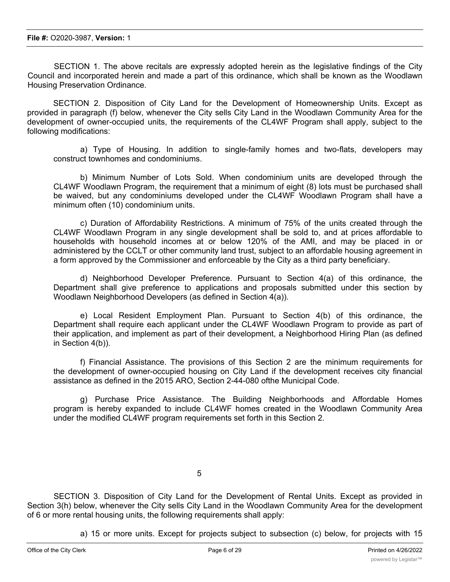SECTION 1. The above recitals are expressly adopted herein as the legislative findings of the City Council and incorporated herein and made a part of this ordinance, which shall be known as the Woodlawn Housing Preservation Ordinance.

SECTION 2. Disposition of City Land for the Development of Homeownership Units. Except as provided in paragraph (f) below, whenever the City sells City Land in the Woodlawn Community Area for the development of owner-occupied units, the requirements of the CL4WF Program shall apply, subject to the following modifications:

a) Type of Housing. In addition to single-family homes and two-flats, developers may construct townhomes and condominiums.

b) Minimum Number of Lots Sold. When condominium units are developed through the CL4WF Woodlawn Program, the requirement that a minimum of eight (8) lots must be purchased shall be waived, but any condominiums developed under the CL4WF Woodlawn Program shall have a minimum often (10) condominium units.

c) Duration of Affordability Restrictions. A minimum of 75% of the units created through the CL4WF Woodlawn Program in any single development shall be sold to, and at prices affordable to households with household incomes at or below 120% of the AMI, and may be placed in or administered by the CCLT or other community land trust, subject to an affordable housing agreement in a form approved by the Commissioner and enforceable by the City as a third party beneficiary.

d) Neighborhood Developer Preference. Pursuant to Section 4(a) of this ordinance, the Department shall give preference to applications and proposals submitted under this section by Woodlawn Neighborhood Developers (as defined in Section 4(a)).

e) Local Resident Employment Plan. Pursuant to Section 4(b) of this ordinance, the Department shall require each applicant under the CL4WF Woodlawn Program to provide as part of their application, and implement as part of their development, a Neighborhood Hiring Plan (as defined in Section 4(b)).

f) Financial Assistance. The provisions of this Section 2 are the minimum requirements for the development of owner-occupied housing on City Land if the development receives city financial assistance as defined in the 2015 ARO, Section 2-44-080 ofthe Municipal Code.

g) Purchase Price Assistance. The Building Neighborhoods and Affordable Homes program is hereby expanded to include CL4WF homes created in the Woodlawn Community Area under the modified CL4WF program requirements set forth in this Section 2.

5

SECTION 3. Disposition of City Land for the Development of Rental Units. Except as provided in Section 3(h) below, whenever the City sells City Land in the Woodlawn Community Area for the development of 6 or more rental housing units, the following requirements shall apply:

a) 15 or more units. Except for projects subject to subsection (c) below, for projects with 15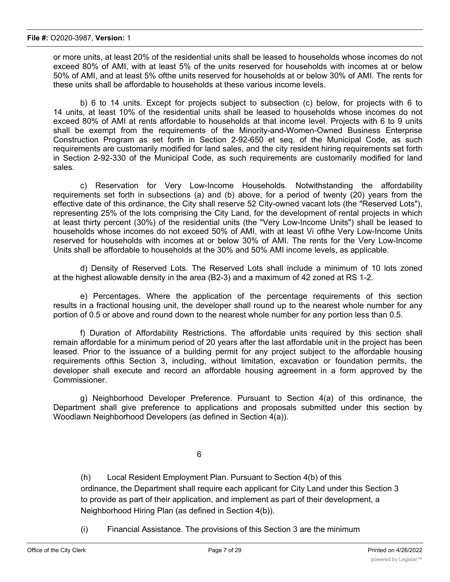or more units, at least 20% of the residential units shall be leased to households whose incomes do not exceed 80% of AMI, with at least 5% of the units reserved for households with incomes at or below 50% of AMI, and at least 5% ofthe units reserved for households at or below 30% of AMI. The rents for these units shall be affordable to households at these various income levels.

b) 6 to 14 units. Except for projects subject to subsection (c) below, for projects with 6 to 14 units, at least 10% of the residential units shall be leased to households whose incomes do not exceed 80% of AMI at rents affordable to households at that income level. Projects with 6 to 9 units shall be exempt from the requirements of the Minority-and-Women-Owned Business Enterprise Construction Program as set forth in Section 2-92-650 et seq. of the Municipal Code, as such requirements are customarily modified for land sales, and the city resident hiring requirements set forth in Section 2-92-330 of the Municipal Code, as such requirements are customarily modified for land sales.

c) Reservation for Very Low-Income Households. Notwithstanding the affordability requirements set forth in subsections (a) and (b) above, for a period of twenty (20) years from the effective date of this ordinance, the City shall reserve 52 City-owned vacant lots (the "Reserved Lots"), representing 25% of the lots comprising the City Land, for the development of rental projects in which at least thirty percent (30%) of the residential units (the "Very Low-Income Units") shall be leased to households whose incomes do not exceed 50% of AMI, with at least Vi ofthe Very Low-Income Units reserved for households with incomes at or below 30% of AMI. The rents for the Very Low-Income Units shall be affordable to households at the 30% and 50% AMI income levels, as applicable.

d) Density of Reserved Lots. The Reserved Lots shall include a minimum of 10 lots zoned at the highest allowable density in the area (B2-3) and a maximum of 42 zoned at RS 1-2.

e) Percentages. Where the application of the percentage requirements of this section results in a fractional housing unit, the developer shall round up to the nearest whole number for any portion of 0.5 or above and round down to the nearest whole number for any portion less than 0.5.

f) Duration of Affordability Restrictions. The affordable units required by this section shall remain affordable for a minimum period of 20 years after the last affordable unit in the project has been leased. Prior to the issuance of a building permit for any project subject to the affordable housing requirements ofthis Section 3, including, without limitation, excavation or foundation permits, the developer shall execute and record an affordable housing agreement in a form approved by the Commissioner.

g) Neighborhood Developer Preference. Pursuant to Section 4(a) of this ordinance, the Department shall give preference to applications and proposals submitted under this section by Woodlawn Neighborhood Developers (as defined in Section 4(a)).

6

(h) Local Resident Employment Plan. Pursuant to Section 4(b) of this ordinance, the Department shall require each applicant for City Land under this Section 3 to provide as part of their application, and implement as part of their development, a Neighborhood Hiring Plan (as defined in Section 4(b)).

(i) Financial Assistance. The provisions of this Section 3 are the minimum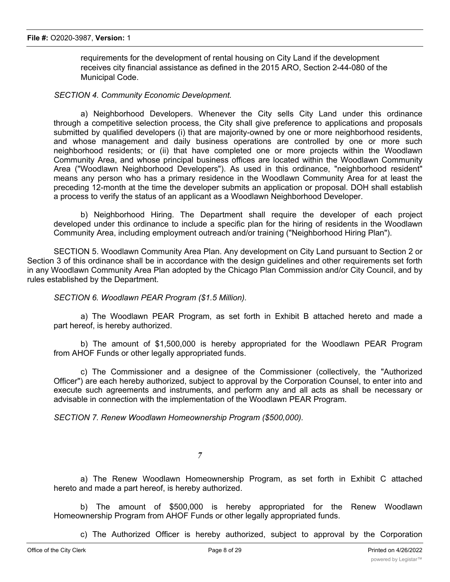requirements for the development of rental housing on City Land if the development receives city financial assistance as defined in the 2015 ARO, Section 2-44-080 of the Municipal Code.

#### *SECTION 4. Community Economic Development.*

a) Neighborhood Developers. Whenever the City sells City Land under this ordinance through a competitive selection process, the City shall give preference to applications and proposals submitted by qualified developers (i) that are majority-owned by one or more neighborhood residents, and whose management and daily business operations are controlled by one or more such neighborhood residents; or (ii) that have completed one or more projects within the Woodlawn Community Area, and whose principal business offices are located within the Woodlawn Community Area ("Woodlawn Neighborhood Developers"). As used in this ordinance, "neighborhood resident" means any person who has a primary residence in the Woodlawn Community Area for at least the preceding 12-month at the time the developer submits an application or proposal. DOH shall establish a process to verify the status of an applicant as a Woodlawn Neighborhood Developer.

b) Neighborhood Hiring. The Department shall require the developer of each project developed under this ordinance to include a specific plan for the hiring of residents in the Woodlawn Community Area, including employment outreach and/or training ("Neighborhood Hiring Plan").

SECTION 5. Woodlawn Community Area Plan. Any development on City Land pursuant to Section 2 or Section 3 of this ordinance shall be in accordance with the design guidelines and other requirements set forth in any Woodlawn Community Area Plan adopted by the Chicago Plan Commission and/or City Council, and by rules established by the Department.

*SECTION 6. Woodlawn PEAR Program (\$1.5 Million).*

a) The Woodlawn PEAR Program, as set forth in Exhibit B attached hereto and made a part hereof, is hereby authorized.

b) The amount of \$1,500,000 is hereby appropriated for the Woodlawn PEAR Program from AHOF Funds or other legally appropriated funds.

c) The Commissioner and a designee of the Commissioner (collectively, the "Authorized Officer") are each hereby authorized, subject to approval by the Corporation Counsel, to enter into and execute such agreements and instruments, and perform any and all acts as shall be necessary or advisable in connection with the implementation of the Woodlawn PEAR Program.

*SECTION 7. Renew Woodlawn Homeownership Program (\$500,000).*

*7*

a) The Renew Woodlawn Homeownership Program, as set forth in Exhibit C attached hereto and made a part hereof, is hereby authorized.

b) The amount of \$500,000 is hereby appropriated for the Renew Woodlawn Homeownership Program from AHOF Funds or other legally appropriated funds.

c) The Authorized Officer is hereby authorized, subject to approval by the Corporation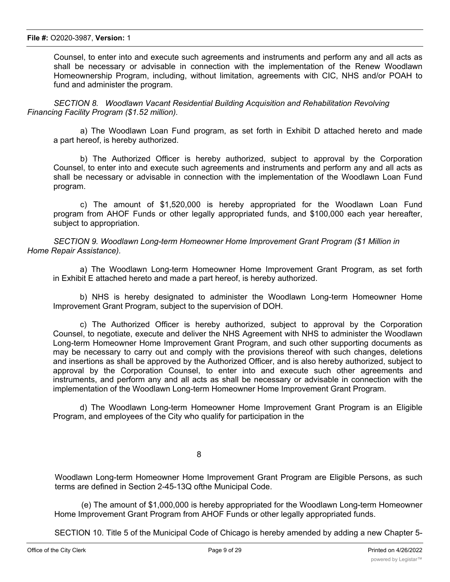Counsel, to enter into and execute such agreements and instruments and perform any and all acts as shall be necessary or advisable in connection with the implementation of the Renew Woodlawn Homeownership Program, including, without limitation, agreements with CIC, NHS and/or POAH to fund and administer the program.

*SECTION 8. Woodlawn Vacant Residential Building Acquisition and Rehabilitation Revolving Financing Facility Program (\$1.52 million).*

a) The Woodlawn Loan Fund program, as set forth in Exhibit D attached hereto and made a part hereof, is hereby authorized.

b) The Authorized Officer is hereby authorized, subject to approval by the Corporation Counsel, to enter into and execute such agreements and instruments and perform any and all acts as shall be necessary or advisable in connection with the implementation of the Woodlawn Loan Fund program.

c) The amount of \$1,520,000 is hereby appropriated for the Woodlawn Loan Fund program from AHOF Funds or other legally appropriated funds, and \$100,000 each year hereafter, subject to appropriation.

*SECTION 9. Woodlawn Long-term Homeowner Home Improvement Grant Program (\$1 Million in Home Repair Assistance).*

a) The Woodlawn Long-term Homeowner Home Improvement Grant Program, as set forth in Exhibit E attached hereto and made a part hereof, is hereby authorized.

b) NHS is hereby designated to administer the Woodlawn Long-term Homeowner Home Improvement Grant Program, subject to the supervision of DOH.

c) The Authorized Officer is hereby authorized, subject to approval by the Corporation Counsel, to negotiate, execute and deliver the NHS Agreement with NHS to administer the Woodlawn Long-term Homeowner Home Improvement Grant Program, and such other supporting documents as may be necessary to carry out and comply with the provisions thereof with such changes, deletions and insertions as shall be approved by the Authorized Officer, and is also hereby authorized, subject to approval by the Corporation Counsel, to enter into and execute such other agreements and instruments, and perform any and all acts as shall be necessary or advisable in connection with the implementation of the Woodlawn Long-term Homeowner Home Improvement Grant Program.

d) The Woodlawn Long-term Homeowner Home Improvement Grant Program is an Eligible Program, and employees of the City who qualify for participation in the

8

Woodlawn Long-term Homeowner Home Improvement Grant Program are Eligible Persons, as such terms are defined in Section 2-45-13Q ofthe Municipal Code.

(e) The amount of \$1,000,000 is hereby appropriated for the Woodlawn Long-term Homeowner Home Improvement Grant Program from AHOF Funds or other legally appropriated funds.

SECTION 10. Title 5 of the Municipal Code of Chicago is hereby amended by adding a new Chapter 5-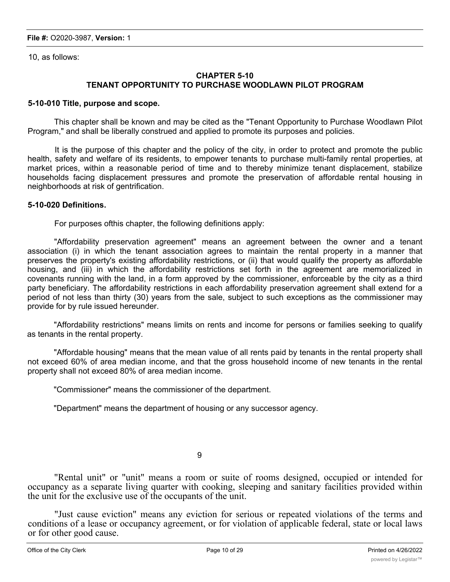10, as follows:

## **CHAPTER 5-10 TENANT OPPORTUNITY TO PURCHASE WOODLAWN PILOT PROGRAM**

#### **5-10-010 Title, purpose and scope.**

This chapter shall be known and may be cited as the "Tenant Opportunity to Purchase Woodlawn Pilot Program," and shall be liberally construed and applied to promote its purposes and policies.

It is the purpose of this chapter and the policy of the city, in order to protect and promote the public health, safety and welfare of its residents, to empower tenants to purchase multi-family rental properties, at market prices, within a reasonable period of time and to thereby minimize tenant displacement, stabilize households facing displacement pressures and promote the preservation of affordable rental housing in neighborhoods at risk of gentrification.

## **5-10-020 Definitions.**

For purposes ofthis chapter, the following definitions apply:

"Affordability preservation agreement" means an agreement between the owner and a tenant association (i) in which the tenant association agrees to maintain the rental property in a manner that preserves the property's existing affordability restrictions, or (ii) that would qualify the property as affordable housing, and (iii) in which the affordability restrictions set forth in the agreement are memorialized in covenants running with the land, in a form approved by the commissioner, enforceable by the city as a third party beneficiary. The affordability restrictions in each affordability preservation agreement shall extend for a period of not less than thirty (30) years from the sale, subject to such exceptions as the commissioner may provide for by rule issued hereunder.

"Affordability restrictions" means limits on rents and income for persons or families seeking to qualify as tenants in the rental property.

"Affordable housing" means that the mean value of all rents paid by tenants in the rental property shall not exceed 60% of area median income, and that the gross household income of new tenants in the rental property shall not exceed 80% of area median income.

"Commissioner" means the commissioner of the department.

"Department" means the department of housing or any successor agency.

9

"Rental unit" or "unit" means a room or suite of rooms designed, occupied or intended for occupancy as a separate living quarter with cooking, sleeping and sanitary facilities provided within the unit for the exclusive use of the occupants of the unit.

"Just cause eviction" means any eviction for serious or repeated violations of the terms and conditions of a lease or occupancy agreement, or for violation of applicable federal, state or local laws or for other good cause.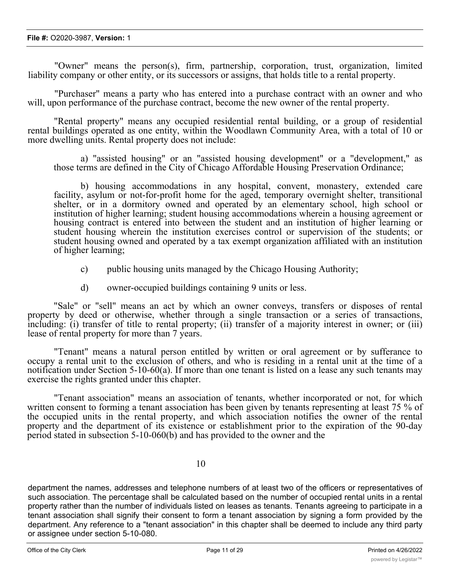"Owner" means the person(s), firm, partnership, corporation, trust, organization, limited liability company or other entity, or its successors or assigns, that holds title to a rental property.

"Purchaser" means a party who has entered into a purchase contract with an owner and who will, upon performance of the purchase contract, become the new owner of the rental property.

"Rental property" means any occupied residential rental building, or a group of residential rental buildings operated as one entity, within the Woodlawn Community Area, with a total of 10 or more dwelling units. Rental property does not include:

a) "assisted housing" or an "assisted housing development" or a "development," as those terms are defined in the City of Chicago Affordable Housing Preservation Ordinance;

b) housing accommodations in any hospital, convent, monastery, extended care facility, asylum or not-for-profit home for the aged, temporary overnight shelter, transitional shelter, or in a dormitory owned and operated by an elementary school, high school or institution of higher learning; student housing accommodations wherein a housing agreement or housing contract is entered into between the student and an institution of higher learning or student housing wherein the institution exercises control or supervision of the students; or student housing owned and operated by a tax exempt organization affiliated with an institution of higher learning;

- c) public housing units managed by the Chicago Housing Authority;
- d) owner-occupied buildings containing 9 units or less.

"Sale" or "sell" means an act by which an owner conveys, transfers or disposes of rental property by deed or otherwise, whether through a single transaction or a series of transactions, including: (i) transfer of title to rental property; (ii) transfer of a majority interest in owner; or (iii) lease of rental property for more than 7 years.

"Tenant" means a natural person entitled by written or oral agreement or by sufferance to occupy a rental unit to the exclusion of others, and who is residing in a rental unit at the time of a notification under Section 5-10-60(a). If more than one tenant is listed on a lease any such tenants may exercise the rights granted under this chapter.

"Tenant association" means an association of tenants, whether incorporated or not, for which written consent to forming a tenant association has been given by tenants representing at least 75 % of the occupied units in the rental property, and which association notifies the owner of the rental property and the department of its existence or establishment prior to the expiration of the 90-day period stated in subsection 5-10-060(b) and has provided to the owner and the

10

department the names, addresses and telephone numbers of at least two of the officers or representatives of such association. The percentage shall be calculated based on the number of occupied rental units in a rental property rather than the number of individuals listed on leases as tenants. Tenants agreeing to participate in a tenant association shall signify their consent to form a tenant association by signing a form provided by the department. Any reference to a "tenant association" in this chapter shall be deemed to include any third party or assignee under section 5-10-080.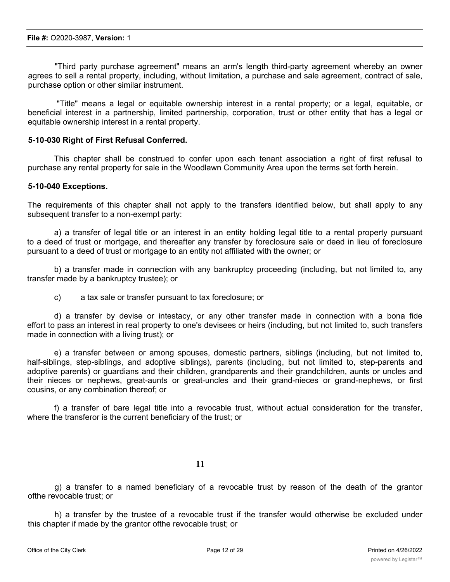"Third party purchase agreement" means an arm's length third-party agreement whereby an owner agrees to sell a rental property, including, without limitation, a purchase and sale agreement, contract of sale, purchase option or other similar instrument.

"Title" means a legal or equitable ownership interest in a rental property; or a legal, equitable, or beneficial interest in a partnership, limited partnership, corporation, trust or other entity that has a legal or equitable ownership interest in a rental property.

#### **5-10-030 Right of First Refusal Conferred.**

This chapter shall be construed to confer upon each tenant association a right of first refusal to purchase any rental property for sale in the Woodlawn Community Area upon the terms set forth herein.

#### **5-10-040 Exceptions.**

The requirements of this chapter shall not apply to the transfers identified below, but shall apply to any subsequent transfer to a non-exempt party:

a) a transfer of legal title or an interest in an entity holding legal title to a rental property pursuant to a deed of trust or mortgage, and thereafter any transfer by foreclosure sale or deed in lieu of foreclosure pursuant to a deed of trust or mortgage to an entity not affiliated with the owner; or

b) a transfer made in connection with any bankruptcy proceeding (including, but not limited to, any transfer made by a bankruptcy trustee); or

c) a tax sale or transfer pursuant to tax foreclosure; or

d) a transfer by devise or intestacy, or any other transfer made in connection with a bona fide effort to pass an interest in real property to one's devisees or heirs (including, but not limited to, such transfers made in connection with a living trust); or

e) a transfer between or among spouses, domestic partners, siblings (including, but not limited to, half-siblings, step-siblings, and adoptive siblings), parents (including, but not limited to, step-parents and adoptive parents) or guardians and their children, grandparents and their grandchildren, aunts or uncles and their nieces or nephews, great-aunts or great-uncles and their grand-nieces or grand-nephews, or first cousins, or any combination thereof; or

f) a transfer of bare legal title into a revocable trust, without actual consideration for the transfer, where the transferor is the current beneficiary of the trust; or

#### **11**

g) a transfer to a named beneficiary of a revocable trust by reason of the death of the grantor ofthe revocable trust; or

h) a transfer by the trustee of a revocable trust if the transfer would otherwise be excluded under this chapter if made by the grantor ofthe revocable trust; or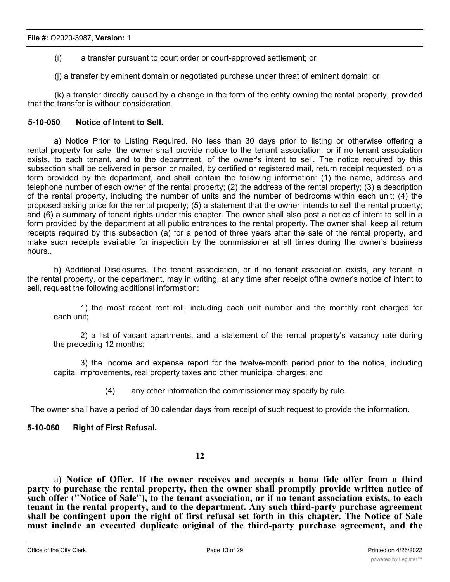(i) a transfer pursuant to court order or court-approved settlement; or

(j) a transfer by eminent domain or negotiated purchase under threat of eminent domain; or

(k) a transfer directly caused by a change in the form of the entity owning the rental property, provided that the transfer is without consideration.

#### **5-10-050 Notice of Intent to Sell.**

a) Notice Prior to Listing Required. No less than 30 days prior to listing or otherwise offering a rental property for sale, the owner shall provide notice to the tenant association, or if no tenant association exists, to each tenant, and to the department, of the owner's intent to sell. The notice required by this subsection shall be delivered in person or mailed, by certified or registered mail, return receipt requested, on a form provided by the department, and shall contain the following information: (1) the name, address and telephone number of each owner of the rental property; (2) the address of the rental property; (3) a description of the rental property, including the number of units and the number of bedrooms within each unit; (4) the proposed asking price for the rental property; (5) a statement that the owner intends to sell the rental property; and (6) a summary of tenant rights under this chapter. The owner shall also post a notice of intent to sell in a form provided by the department at all public entrances to the rental property. The owner shall keep all return receipts required by this subsection (a) for a period of three years after the sale of the rental property, and make such receipts available for inspection by the commissioner at all times during the owner's business hours..

b) Additional Disclosures. The tenant association, or if no tenant association exists, any tenant in the rental property, or the department, may in writing, at any time after receipt ofthe owner's notice of intent to sell, request the following additional information:

1) the most recent rent roll, including each unit number and the monthly rent charged for each unit;

2) a list of vacant apartments, and a statement of the rental property's vacancy rate during the preceding 12 months;

3) the income and expense report for the twelve-month period prior to the notice, including capital improvements, real property taxes and other municipal charges; and

(4) any other information the commissioner may specify by rule.

The owner shall have a period of 30 calendar days from receipt of such request to provide the information.

# **5-10-060 Right of First Refusal.**

## **12**

a) **Notice of Offer. If the owner receives and accepts a bona fide offer from a third party to purchase the rental property, then the owner shall promptly provide written notice of such offer ("Notice of Sale"), to the tenant association, or if no tenant association exists, to each tenant in the rental property, and to the department. Any such third-party purchase agreement shall be contingent upon the right of first refusal set forth in this chapter. The Notice of Sale must include an executed duplicate original of the third-party purchase agreement, and the disclosures set forth in section 5-10-050(b), unless the owner has previously made such**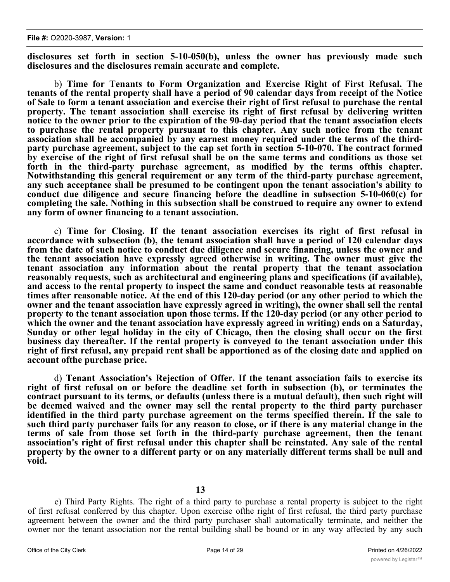**disclosures set forth in section 5-10-050(b), unless the owner has previously made such disclosures and the disclosures remain accurate and complete.**

b) **Time for Tenants to Form Organization and Exercise Right of First Refusal. The tenants of the rental property shall have a period of 90 calendar days from receipt of the Notice** of Sale to form a tenant association and exercise their right of first refusal to purchase the rental **property. The tenant association shall exercise its right of first refusal by delivering written notice to the owner prior to the expiration of the 90-day period that the tenant association elects to purchase the rental property pursuant to this chapter. Any such notice from the tenant association shall be accompanied by any earnest money required under the terms of the thirdparty purchase agreement, subject to the cap set forth in section 5-10-070. The contract formed** by exercise of the right of first refusal shall be on the same terms and conditions as those set **forth in the third-party purchase agreement, as modified by the terms ofthis chapter. Notwithstanding this general requirement or any term of the third-party purchase agreement, any such acceptance shall be presumed to be contingent upon the tenant association's ability to conduct due diligence and secure financing before the deadline in subsection 5-10-060(c) for completing the sale. Nothing in this subsection shall be construed to require any owner to extend any form of owner financing to a tenant association.**

c) **Time for Closing. If the tenant association exercises its right of first refusal in accordance with subsection (b), the tenant association shall have a period of 120 calendar days from the date of such notice to conduct due diligence and secure financing, unless the owner and the tenant association have expressly agreed otherwise in writing. The owner must give the tenant association any information about the rental property that the tenant association reasonably requests, such as architectural and engineering plans and specifications (if available), and access to the rental property to inspect the same and conduct reasonable tests at reasonable times after reasonable notice. At the end of this 120-day period (or any other period to which the owner and the tenant association have expressly agreed in writing), the owner shall sell the rental property to the tenant association upon those terms. If the 120-day period (or any other period to which the owner and the tenant association have expressly agreed in writing) ends on a Saturday, Sunday or other legal holiday in the city of Chicago, then the closing shall occur on the first business day thereafter. If the rental property is conveyed to the tenant association under this** right of first refusal, any prepaid rent shall be apportioned as of the closing date and applied on **account ofthe purchase price.**

d) **Tenant Association's Rejection of Offer. If the tenant association fails to exercise its right of first refusal on or before the deadline set forth in subsection (b), or terminates the contract pursuant to its terms, or defaults (unless there is a mutual default), then such right will be deemed waived and the owner may sell the rental property to the third party purchaser identified in the third party purchase agreement on the terms specified therein. If the sale to** such third party purchaser fails for any reason to close, or if there is any material change in the **terms of sale from those set forth in the third-party purchase agreement, then the tenant association's right of first refusal under this chapter shall be reinstated. Any sale of the rental property by the owner to a different party or on any materially different terms shall be null and void.**

**13**

e) Third Party Rights. The right of a third party to purchase a rental property is subject to the right of first refusal conferred by this chapter. Upon exercise ofthe right of first refusal, the third party purchase agreement between the owner and the third party purchaser shall automatically terminate, and neither the owner nor the tenant association nor the rental building shall be bound or in any way affected by any such agreement and such third party purchaser shall not have any interest in the contract between the owner and the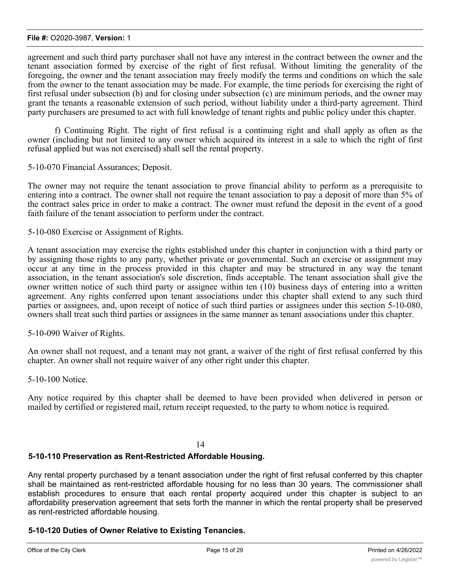#### **File #:** O2020-3987, **Version:** 1

agreement and such third party purchaser shall not have any interest in the contract between the owner and the tenant association formed by exercise of the right of first refusal. Without limiting the generality of the foregoing, the owner and the tenant association may freely modify the terms and conditions on which the sale from the owner to the tenant association may be made. For example, the time periods for exercising the right of first refusal under subsection (b) and for closing under subsection (c) are minimum periods, and the owner may grant the tenants a reasonable extension of such period, without liability under a third-party agreement. Third party purchasers are presumed to act with full knowledge of tenant rights and public policy under this chapter.

f) Continuing Right. The right of first refusal is a continuing right and shall apply as often as the owner (including but not limited to any owner which acquired its interest in a sale to which the right of first refusal applied but was not exercised) shall sell the rental property.

5-10-070 Financial Assurances; Deposit.

The owner may not require the tenant association to prove financial ability to perform as a prerequisite to entering into a contract. The owner shall not require the tenant association to pay a deposit of more than 5% of the contract sales price in order to make a contract. The owner must refund the deposit in the event of a good faith failure of the tenant association to perform under the contract.

5-10-080 Exercise or Assignment of Rights.

A tenant association may exercise the rights established under this chapter in conjunction with a third party or by assigning those rights to any party, whether private or governmental. Such an exercise or assignment may occur at any time in the process provided in this chapter and may be structured in any way the tenant association, in the tenant association's sole discretion, finds acceptable. The tenant association shall give the owner written notice of such third party or assignee within ten (10) business days of entering into a written agreement. Any rights conferred upon tenant associations under this chapter shall extend to any such third parties or assignees, and, upon receipt of notice of such third parties or assignees under this section 5-10-080, owners shall treat such third parties or assignees in the same manner as tenant associations under this chapter.

5-10-090 Waiver of Rights.

An owner shall not request, and a tenant may not grant, a waiver of the right of first refusal conferred by this chapter. An owner shall not require waiver of any other right under this chapter.

5-10-100 Notice.

Any notice required by this chapter shall be deemed to have been provided when delivered in person or mailed by certified or registered mail, return receipt requested, to the party to whom notice is required.

#### 14

# **5-10-110 Preservation as Rent-Restricted Affordable Housing.**

Any rental property purchased by a tenant association under the right of first refusal conferred by this chapter shall be maintained as rent-restricted affordable housing for no less than 30 years. The commissioner shall establish procedures to ensure that each rental property acquired under this chapter is subject to an affordability preservation agreement that sets forth the manner in which the rental property shall be preserved as rent-restricted affordable housing.

# **5-10-120 Duties of Owner Relative to Existing Tenancies.**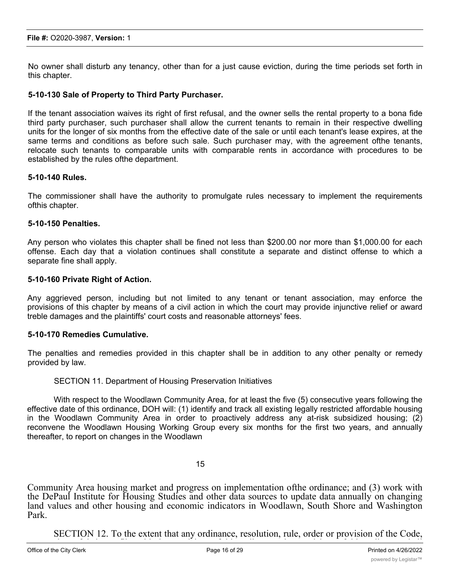No owner shall disturb any tenancy, other than for a just cause eviction, during the time periods set forth in this chapter.

## **5-10-130 Sale of Property to Third Party Purchaser.**

If the tenant association waives its right of first refusal, and the owner sells the rental property to a bona fide third party purchaser, such purchaser shall allow the current tenants to remain in their respective dwelling units for the longer of six months from the effective date of the sale or until each tenant's lease expires, at the same terms and conditions as before such sale. Such purchaser may, with the agreement ofthe tenants, relocate such tenants to comparable units with comparable rents in accordance with procedures to be established by the rules ofthe department.

## **5-10-140 Rules.**

The commissioner shall have the authority to promulgate rules necessary to implement the requirements ofthis chapter.

## **5-10-150 Penalties.**

Any person who violates this chapter shall be fined not less than \$200.00 nor more than \$1,000.00 for each offense. Each day that a violation continues shall constitute a separate and distinct offense to which a separate fine shall apply.

## **5-10-160 Private Right of Action.**

Any aggrieved person, including but not limited to any tenant or tenant association, may enforce the provisions of this chapter by means of a civil action in which the court may provide injunctive relief or award treble damages and the plaintiffs' court costs and reasonable attorneys' fees.

## **5-10-170 Remedies Cumulative.**

The penalties and remedies provided in this chapter shall be in addition to any other penalty or remedy provided by law.

## SECTION 11. Department of Housing Preservation Initiatives

With respect to the Woodlawn Community Area, for at least the five (5) consecutive years following the effective date of this ordinance, DOH will: (1) identify and track all existing legally restricted affordable housing in the Woodlawn Community Area in order to proactively address any at-risk subsidized housing; (2) reconvene the Woodlawn Housing Working Group every six months for the first two years, and annually thereafter, to report on changes in the Woodlawn

#### 15

Community Area housing market and progress on implementation ofthe ordinance; and (3) work with the DePaul Institute for Housing Studies and other data sources to update data annually on changing land values and other housing and economic indicators in Woodlawn, South Shore and Washington Park.

SECTION 12. To the extent that any ordinance, resolution, rule, order or provision of the Code,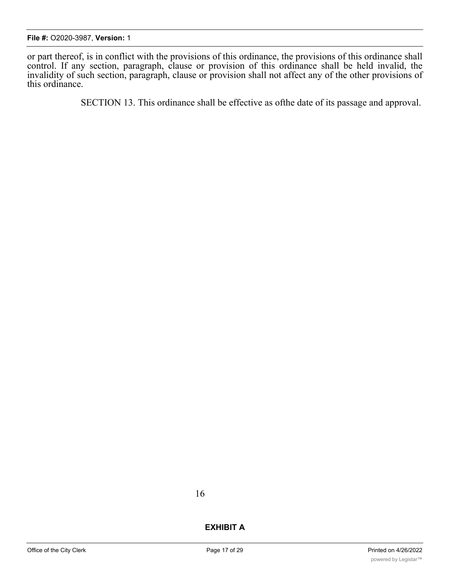or part thereof, is in conflict with the provisions of this ordinance, the provisions of this ordinance shall control. If any section, paragraph, clause or provision of this ordinance shall be held invalid, the invalidity of such section, paragraph, clause or provision shall not affect any of the other provisions of this ordinance.

SECTION 13. This ordinance shall be effective as ofthe date of its passage and approval.

16

# **EXHIBIT A**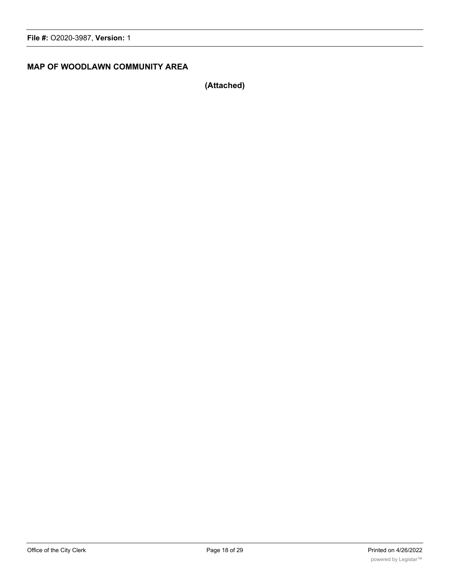# **MAP OF WOODLAWN COMMUNITY AREA**

**(Attached)**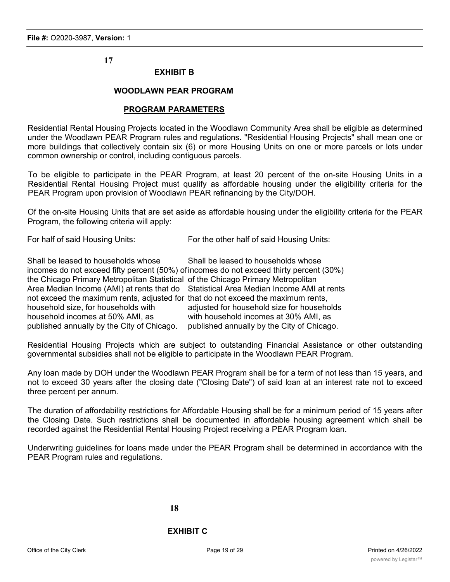# **17**

## **EXHIBIT B**

## **WOODLAWN PEAR PROGRAM**

#### **PROGRAM PARAMETERS**

Residential Rental Housing Projects located in the Woodlawn Community Area shall be eligible as determined under the Woodlawn PEAR Program rules and regulations. "Residential Housing Projects" shall mean one or more buildings that collectively contain six (6) or more Housing Units on one or more parcels or lots under common ownership or control, including contiguous parcels.

To be eligible to participate in the PEAR Program, at least 20 percent of the on-site Housing Units in a Residential Rental Housing Project must qualify as affordable housing under the eligibility criteria for the PEAR Program upon provision of Woodlawn PEAR refinancing by the City/DOH.

Of the on-site Housing Units that are set aside as affordable housing under the eligibility criteria for the PEAR Program, the following criteria will apply:

For half of said Housing Units: For the other half of said Housing Units:

| Shall be leased to households whose                                              | Shall be leased to households whose                                                     |
|----------------------------------------------------------------------------------|-----------------------------------------------------------------------------------------|
|                                                                                  | incomes do not exceed fifty percent (50%) of incomes do not exceed thirty percent (30%) |
| the Chicago Primary Metropolitan Statistical of the Chicago Primary Metropolitan |                                                                                         |
|                                                                                  | Area Median Income (AMI) at rents that do Statistical Area Median Income AMI at rents   |
| not exceed the maximum rents, adjusted for that do not exceed the maximum rents, |                                                                                         |
| household size, for households with                                              | adjusted for household size for households                                              |
| household incomes at 50% AMI, as                                                 | with household incomes at 30% AMI, as                                                   |
| published annually by the City of Chicago.                                       | published annually by the City of Chicago.                                              |

Residential Housing Projects which are subject to outstanding Financial Assistance or other outstanding governmental subsidies shall not be eligible to participate in the Woodlawn PEAR Program.

Any loan made by DOH under the Woodlawn PEAR Program shall be for a term of not less than 15 years, and not to exceed 30 years after the closing date ("Closing Date") of said loan at an interest rate not to exceed three percent per annum.

The duration of affordability restrictions for Affordable Housing shall be for a minimum period of 15 years after the Closing Date. Such restrictions shall be documented in affordable housing agreement which shall be recorded against the Residential Rental Housing Project receiving a PEAR Program loan.

Underwriting guidelines for loans made under the PEAR Program shall be determined in accordance with the PEAR Program rules and regulations.

#### **18**

# **EXHIBIT C**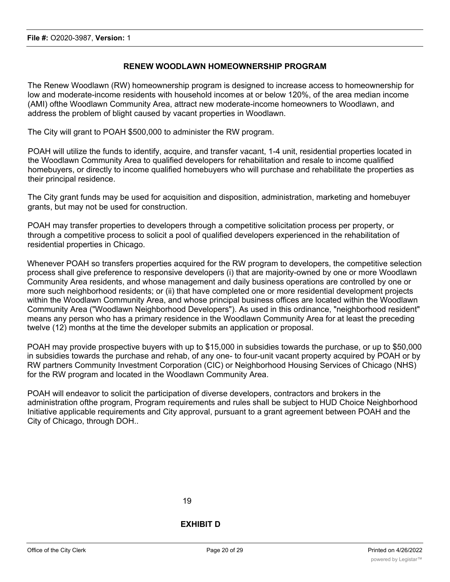## **RENEW WOODLAWN HOMEOWNERSHIP PROGRAM**

The Renew Woodlawn (RW) homeownership program is designed to increase access to homeownership for low and moderate-income residents with household incomes at or below 120%, of the area median income (AMI) ofthe Woodlawn Community Area, attract new moderate-income homeowners to Woodlawn, and address the problem of blight caused by vacant properties in Woodlawn.

The City will grant to POAH \$500,000 to administer the RW program.

POAH will utilize the funds to identify, acquire, and transfer vacant, 1-4 unit, residential properties located in the Woodlawn Community Area to qualified developers for rehabilitation and resale to income qualified homebuyers, or directly to income qualified homebuyers who will purchase and rehabilitate the properties as their principal residence.

The City grant funds may be used for acquisition and disposition, administration, marketing and homebuyer grants, but may not be used for construction.

POAH may transfer properties to developers through a competitive solicitation process per property, or through a competitive process to solicit a pool of qualified developers experienced in the rehabilitation of residential properties in Chicago.

Whenever POAH so transfers properties acquired for the RW program to developers, the competitive selection process shall give preference to responsive developers (i) that are majority-owned by one or more Woodlawn Community Area residents, and whose management and daily business operations are controlled by one or more such neighborhood residents; or (ii) that have completed one or more residential development projects within the Woodlawn Community Area, and whose principal business offices are located within the Woodlawn Community Area ("Woodlawn Neighborhood Developers"). As used in this ordinance, "neighborhood resident" means any person who has a primary residence in the Woodlawn Community Area for at least the preceding twelve (12) months at the time the developer submits an application or proposal.

POAH may provide prospective buyers with up to \$15,000 in subsidies towards the purchase, or up to \$50,000 in subsidies towards the purchase and rehab, of any one- to four-unit vacant property acquired by POAH or by RW partners Community Investment Corporation (CIC) or Neighborhood Housing Services of Chicago (NHS) for the RW program and located in the Woodlawn Community Area.

POAH will endeavor to solicit the participation of diverse developers, contractors and brokers in the administration ofthe program, Program requirements and rules shall be subject to HUD Choice Neighborhood Initiative applicable requirements and City approval, pursuant to a grant agreement between POAH and the City of Chicago, through DOH..

**EXHIBIT D**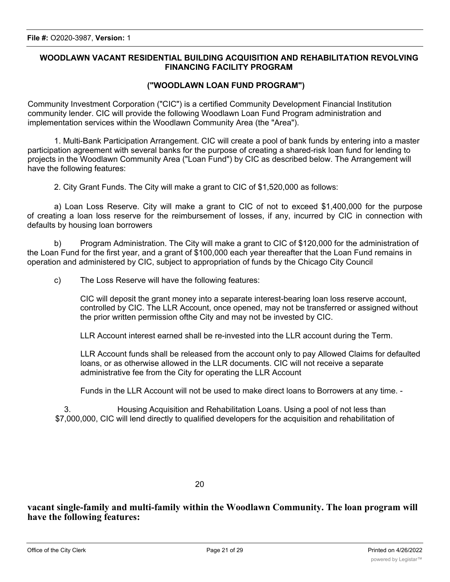# **WOODLAWN VACANT RESIDENTIAL BUILDING ACQUISITION AND REHABILITATION REVOLVING FINANCING FACILITY PROGRAM**

## **("WOODLAWN LOAN FUND PROGRAM")**

Community Investment Corporation ("CIC") is a certified Community Development Financial Institution community lender. CIC will provide the following Woodlawn Loan Fund Program administration and implementation services within the Woodlawn Community Area (the "Area").

1. Multi-Bank Participation Arrangement. CIC will create a pool of bank funds by entering into a master participation agreement with several banks for the purpose of creating a shared-risk loan fund for lending to projects in the Woodlawn Community Area ("Loan Fund") by CIC as described below. The Arrangement will have the following features:

2. City Grant Funds. The City will make a grant to CIC of \$1,520,000 as follows:

a) Loan Loss Reserve. City will make a grant to CIC of not to exceed \$1,400,000 for the purpose of creating a loan loss reserve for the reimbursement of losses, if any, incurred by CIC in connection with defaults by housing loan borrowers

b) Program Administration. The City will make a grant to CIC of \$120,000 for the administration of the Loan Fund for the first year, and a grant of \$100,000 each year thereafter that the Loan Fund remains in operation and administered by CIC, subject to appropriation of funds by the Chicago City Council

c) The Loss Reserve will have the following features:

CIC will deposit the grant money into a separate interest-bearing loan loss reserve account, controlled by CIC. The LLR Account, once opened, may not be transferred or assigned without the prior written permission ofthe City and may not be invested by CIC.

LLR Account interest earned shall be re-invested into the LLR account during the Term.

LLR Account funds shall be released from the account only to pay Allowed Claims for defaulted loans, or as otherwise allowed in the LLR documents. CIC will not receive a separate administrative fee from the City for operating the LLR Account

Funds in the LLR Account will not be used to make direct loans to Borrowers at any time. -

3. Housing Acquisition and Rehabilitation Loans. Using a pool of not less than \$7,000,000, CIC will lend directly to qualified developers for the acquisition and rehabilitation of

**vacant single-family and multi-family within the Woodlawn Community. The loan program will have the following features:**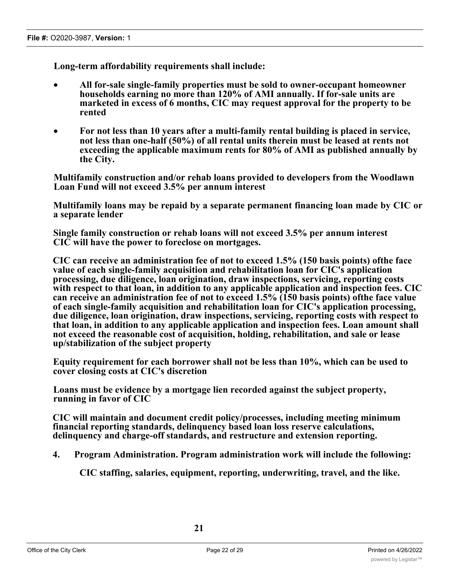**Long-term affordability requirements shall include:**

- · **All for-sale single-family properties must be sold to owner-occupant homeowner households earning no more than 120% of AMI annually. If for-sale units are marketed in excess of 6 months, CIC may request approval for the property to be rented**
- · **For not less than 10 years after a multi-family rental building is placed in service, not less than one-half (50%) of all rental units therein must be leased at rents not exceeding the applicable maximum rents for 80% of AMI as published annually by the City.**

**Multifamily construction and/or rehab loans provided to developers from the Woodlawn Loan Fund will not exceed 3.5% per annum interest**

**Multifamily loans may be repaid by a separate permanent financing loan made by CIC or a separate lender**

**Single family construction or rehab loans will not exceed 3.5% per annum interest CIC will have the power to foreclose on mortgages.**

**CIC can receive an administration fee of not to exceed 1.5% (150 basis points) ofthe face value of each single-family acquisition and rehabilitation loan for CIC's application processing, due diligence, loan origination, draw inspections, servicing, reporting costs with respect to that loan, in addition to any applicable application and inspection fees. CIC can receive an administration fee of not to exceed 1.5% (150 basis points) ofthe face value of each single-family acquisition and rehabilitation loan for CIC's application processing, due diligence, loan origination, draw inspections, servicing, reporting costs with respect to that loan, in addition to any applicable application and inspection fees. Loan amount shall not exceed the reasonable cost of acquisition, holding, rehabilitation, and sale or lease up/stabilization of the subject property**

**Equity requirement for each borrower shall not be less than 10%, which can be used to cover closing costs at CIC's discretion**

**Loans must be evidence by a mortgage lien recorded against the subject property, running in favor of CIC**

**CIC will maintain and document credit policy/processes, including meeting minimum financial reporting standards, delinquency based loan loss reserve calculations, delinquency and charge-off standards, and restructure and extension reporting.**

**4. Program Administration. Program administration work will include the following:**

**CIC staffing, salaries, equipment, reporting, underwriting, travel, and the like.**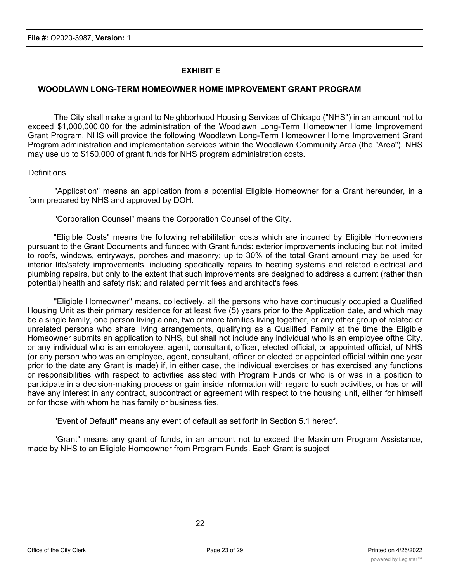# **EXHIBIT E**

# **WOODLAWN LONG-TERM HOMEOWNER HOME IMPROVEMENT GRANT PROGRAM**

The City shall make a grant to Neighborhood Housing Services of Chicago ("NHS") in an amount not to exceed \$1,000,000.00 for the administration of the Woodlawn Long-Term Homeowner Home Improvement Grant Program. NHS will provide the following Woodlawn Long-Term Homeowner Home Improvement Grant Program administration and implementation services within the Woodlawn Community Area (the "Area"). NHS may use up to \$150,000 of grant funds for NHS program administration costs.

## Definitions.

"Application" means an application from a potential Eligible Homeowner for a Grant hereunder, in a form prepared by NHS and approved by DOH.

"Corporation Counsel" means the Corporation Counsel of the City.

"Eligible Costs" means the following rehabilitation costs which are incurred by Eligible Homeowners pursuant to the Grant Documents and funded with Grant funds: exterior improvements including but not limited to roofs, windows, entryways, porches and masonry; up to 30% of the total Grant amount may be used for interior life/safety improvements, including specifically repairs to heating systems and related electrical and plumbing repairs, but only to the extent that such improvements are designed to address a current (rather than potential) health and safety risk; and related permit fees and architect's fees.

"Eligible Homeowner" means, collectively, all the persons who have continuously occupied a Qualified Housing Unit as their primary residence for at least five (5) years prior to the Application date, and which may be a single family, one person living alone, two or more families living together, or any other group of related or unrelated persons who share living arrangements, qualifying as a Qualified Family at the time the Eligible Homeowner submits an application to NHS, but shall not include any individual who is an employee ofthe City, or any individual who is an employee, agent, consultant, officer, elected official, or appointed official, of NHS (or any person who was an employee, agent, consultant, officer or elected or appointed official within one year prior to the date any Grant is made) if, in either case, the individual exercises or has exercised any functions or responsibilities with respect to activities assisted with Program Funds or who is or was in a position to participate in a decision-making process or gain inside information with regard to such activities, or has or will have any interest in any contract, subcontract or agreement with respect to the housing unit, either for himself or for those with whom he has family or business ties.

"Event of Default" means any event of default as set forth in Section 5.1 hereof.

"Grant" means any grant of funds, in an amount not to exceed the Maximum Program Assistance, made by NHS to an Eligible Homeowner from Program Funds. Each Grant is subject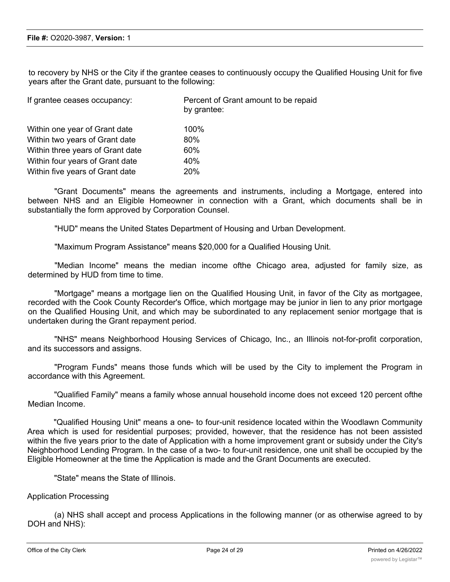to recovery by NHS or the City if the grantee ceases to continuously occupy the Qualified Housing Unit for five years after the Grant date, pursuant to the following:

| If grantee ceases occupancy:     | Percent of Grant amount to be repaid<br>by grantee: |
|----------------------------------|-----------------------------------------------------|
| Within one year of Grant date    | 100%                                                |
| Within two years of Grant date   | 80%                                                 |
| Within three years of Grant date | 60%                                                 |
| Within four years of Grant date  | 40%                                                 |
| Within five years of Grant date  | 20%                                                 |
|                                  |                                                     |

"Grant Documents" means the agreements and instruments, including a Mortgage, entered into between NHS and an Eligible Homeowner in connection with a Grant, which documents shall be in substantially the form approved by Corporation Counsel.

"HUD" means the United States Department of Housing and Urban Development.

"Maximum Program Assistance" means \$20,000 for a Qualified Housing Unit.

"Median Income" means the median income ofthe Chicago area, adjusted for family size, as determined by HUD from time to time.

"Mortgage" means a mortgage lien on the Qualified Housing Unit, in favor of the City as mortgagee, recorded with the Cook County Recorder's Office, which mortgage may be junior in lien to any prior mortgage on the Qualified Housing Unit, and which may be subordinated to any replacement senior mortgage that is undertaken during the Grant repayment period.

"NHS" means Neighborhood Housing Services of Chicago, Inc., an Illinois not-for-profit corporation, and its successors and assigns.

"Program Funds" means those funds which will be used by the City to implement the Program in accordance with this Agreement.

"Qualified Family" means a family whose annual household income does not exceed 120 percent ofthe Median Income.

"Qualified Housing Unit" means a one- to four-unit residence located within the Woodlawn Community Area which is used for residential purposes; provided, however, that the residence has not been assisted within the five years prior to the date of Application with a home improvement grant or subsidy under the City's Neighborhood Lending Program. In the case of a two- to four-unit residence, one unit shall be occupied by the Eligible Homeowner at the time the Application is made and the Grant Documents are executed.

"State" means the State of Illinois.

#### Application Processing

(a) NHS shall accept and process Applications in the following manner (or as otherwise agreed to by DOH and NHS):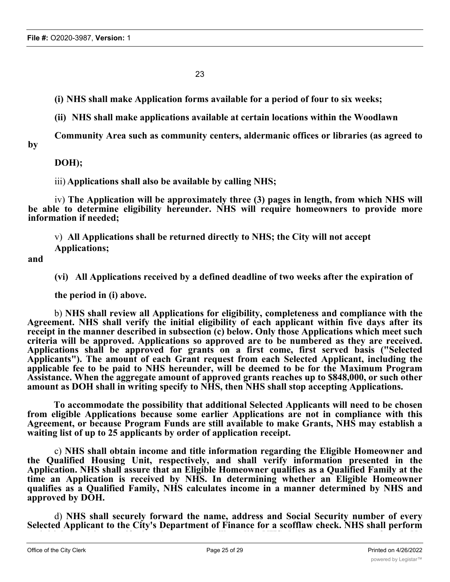23

**(i) NHS shall make Application forms available for a period of four to six weeks;**

**(ii) NHS shall make applications available at certain locations within the Woodlawn**

**Community Area such as community centers, aldermanic offices or libraries (as agreed to by**

**DOH);**

iii) **Applications shall also be available by calling NHS;**

iv) **The Application will be approximately three (3) pages in length, from which NHS will be able to determine eligibility hereunder. NHS will require homeowners to provide more information if needed;**

v) **All Applications shall be returned directly to NHS; the City will not accept Applications;**

**and**

**(vi) All Applications received by a defined deadline of two weeks after the expiration of**

**the period in (i) above.**

b) **NHS shall review all Applications for eligibility, completeness and compliance with the Agreement. NHS shall verify the initial eligibility of each applicant within five days after its receipt in the manner described in subsection (c) below. Only those Applications which meet such criteria will be approved. Applications so approved are to be numbered as they are received. Applications shall be approved for grants on a first come, first served basis ("Selected Applicants"). The amount of each Grant request from each Selected Applicant, including the applicable fee to be paid to NHS hereunder, will be deemed to be for the Maximum Program Assistance. When the aggregate amount of approved grants reaches up to \$848,000, or such other amount as DOH shall in writing specify to NHS, then NHS shall stop accepting Applications.**

**To accommodate the possibility that additional Selected Applicants will need to be chosen from eligible Applications because some earlier Applications are not in compliance with this Agreement, or because Program Funds are still available to make Grants, NHS may establish a waiting list of up to 25 applicants by order of application receipt.**

c) **NHS shall obtain income and title information regarding the Eligible Homeowner and the Qualified Housing Unit, respectively, and shall verify information presented in the Application. NHS shall assure that an Eligible Homeowner qualifies as a Qualified Family at the time an Application is received by NHS. In determining whether an Eligible Homeowner qualifies as a Qualified Family, NHS calculates income in a manner determined by NHS and approved by DOH.**

d) **NHS shall securely forward the name, address and Social Security number of every Selected Applicant to the City's Department of Finance for a scofflaw check. NHS shall perform an initial site visit to verify that the property will qualify. NHS shall approve a scope of work. No**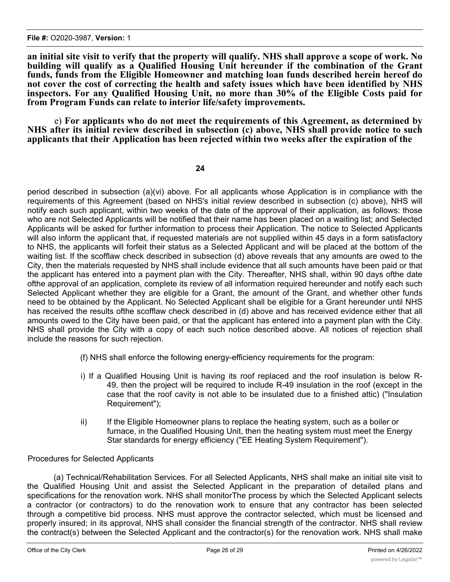an initial site visit to verify that the property will qualify. NHS shall approve a scope of work. No **building will qualify as a Qualified Housing Unit hereunder if the combination of the Grant funds, funds from the Eligible Homeowner and matching loan funds described herein hereof do not cover the cost of correcting the health and safety issues which have been identified by NHS inspectors. For any Qualified Housing Unit, no more than 30% of the Eligible Costs paid for from Program Funds can relate to interior life/safety improvements.**

e) **For applicants who do not meet the requirements of this Agreement, as determined by NHS after its initial review described in subsection (c) above, NHS shall provide notice to such applicants that their Application has been rejected within two weeks after the expiration of the**

#### **24**

period described in subsection (a)(vi) above. For all applicants whose Application is in compliance with the requirements of this Agreement (based on NHS's initial review described in subsection (c) above), NHS will notify each such applicant, within two weeks of the date of the approval of their application, as follows: those who are not Selected Applicants will be notified that their name has been placed on a waiting list; and Selected Applicants will be asked for further information to process their Application. The notice to Selected Applicants will also inform the applicant that, if requested materials are not supplied within 45 days in a form satisfactory to NHS, the applicants will forfeit their status as a Selected Applicant and will be placed at the bottom of the waiting list. If the scofflaw check described in subsection (d) above reveals that any amounts are owed to the City, then the materials requested by NHS shall include evidence that all such amounts have been paid or that the applicant has entered into a payment plan with the City. Thereafter, NHS shall, within 90 days ofthe date ofthe approval of an application, complete its review of all information required hereunder and notify each such Selected Applicant whether they are eligible for a Grant, the amount of the Grant, and whether other funds need to be obtained by the Applicant. No Selected Applicant shall be eligible for a Grant hereunder until NHS has received the results ofthe scofflaw check described in (d) above and has received evidence either that all amounts owed to the City have been paid, or that the applicant has entered into a payment plan with the City. NHS shall provide the City with a copy of each such notice described above. All notices of rejection shall include the reasons for such rejection.

- (f) NHS shall enforce the following energy-efficiency requirements for the program:
- i) If a Qualified Housing Unit is having its roof replaced and the roof insulation is below R-49, then the project will be required to include R-49 insulation in the roof (except in the case that the roof cavity is not able to be insulated due to a finished attic) ("Insulation Requirement");
- ii) If the Eligible Homeowner plans to replace the heating system, such as a boiler or furnace, in the Qualified Housing Unit, then the heating system must meet the Energy Star standards for energy efficiency ("EE Heating System Requirement").

## Procedures for Selected Applicants

(a) Technical/Rehabilitation Services. For all Selected Applicants, NHS shall make an initial site visit to the Qualified Housing Unit and assist the Selected Applicant in the preparation of detailed plans and specifications for the renovation work. NHS shall monitorThe process by which the Selected Applicant selects a contractor (or contractors) to do the renovation work to ensure that any contractor has been selected through a competitive bid process. NHS must approve the contractor selected, which must be licensed and properly insured; in its approval, NHS shall consider the financial strength of the contractor. NHS shall review the contract(s) between the Selected Applicant and the contractor(s) for the renovation work. NHS shall make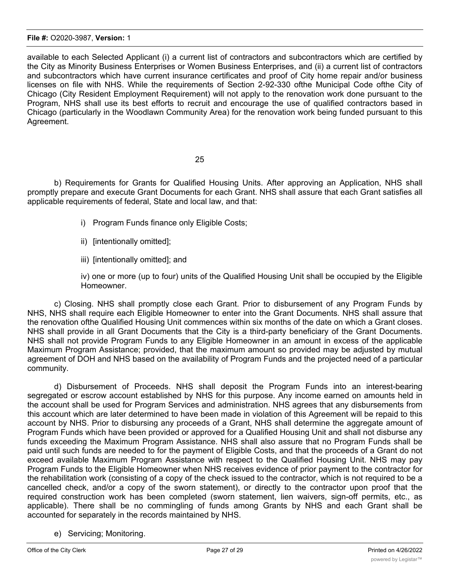#### **File #:** O2020-3987, **Version:** 1

available to each Selected Applicant (i) a current list of contractors and subcontractors which are certified by the City as Minority Business Enterprises or Women Business Enterprises, and (ii) a current list of contractors and subcontractors which have current insurance certificates and proof of City home repair and/or business licenses on file with NHS. While the requirements of Section 2-92-330 ofthe Municipal Code ofthe City of Chicago (City Resident Employment Requirement) will not apply to the renovation work done pursuant to the Program, NHS shall use its best efforts to recruit and encourage the use of qualified contractors based in Chicago (particularly in the Woodlawn Community Area) for the renovation work being funded pursuant to this Agreement.

## 25

b) Requirements for Grants for Qualified Housing Units. After approving an Application, NHS shall promptly prepare and execute Grant Documents for each Grant. NHS shall assure that each Grant satisfies all applicable requirements of federal, State and local law, and that:

- i) Program Funds finance only Eligible Costs;
- ii) [intentionally omitted];
- iii) [intentionally omitted]; and

iv) one or more (up to four) units of the Qualified Housing Unit shall be occupied by the Eligible Homeowner.

c) Closing. NHS shall promptly close each Grant. Prior to disbursement of any Program Funds by NHS, NHS shall require each Eligible Homeowner to enter into the Grant Documents. NHS shall assure that the renovation ofthe Qualified Housing Unit commences within six months of the date on which a Grant closes. NHS shall provide in all Grant Documents that the City is a third-party beneficiary of the Grant Documents. NHS shall not provide Program Funds to any Eligible Homeowner in an amount in excess of the applicable Maximum Program Assistance; provided, that the maximum amount so provided may be adjusted by mutual agreement of DOH and NHS based on the availability of Program Funds and the projected need of a particular community.

d) Disbursement of Proceeds. NHS shall deposit the Program Funds into an interest-bearing segregated or escrow account established by NHS for this purpose. Any income earned on amounts held in the account shall be used for Program Services and administration. NHS agrees that any disbursements from this account which are later determined to have been made in violation of this Agreement will be repaid to this account by NHS. Prior to disbursing any proceeds of a Grant, NHS shall determine the aggregate amount of Program Funds which have been provided or approved for a Qualified Housing Unit and shall not disburse any funds exceeding the Maximum Program Assistance. NHS shall also assure that no Program Funds shall be paid until such funds are needed to for the payment of Eligible Costs, and that the proceeds of a Grant do not exceed available Maximum Program Assistance with respect to the Qualified Housing Unit. NHS may pay Program Funds to the Eligible Homeowner when NHS receives evidence of prior payment to the contractor for the rehabilitation work (consisting of a copy of the check issued to the contractor, which is not required to be a cancelled check, and/or a copy of the sworn statement), or directly to the contractor upon proof that the required construction work has been completed (sworn statement, lien waivers, sign-off permits, etc., as applicable). There shall be no commingling of funds among Grants by NHS and each Grant shall be accounted for separately in the records maintained by NHS.

e) Servicing; Monitoring.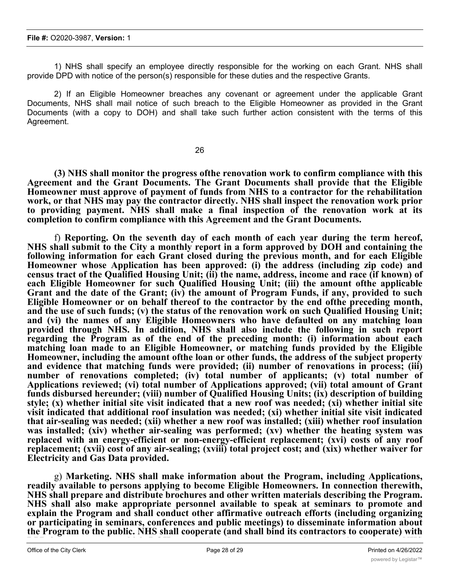1) NHS shall specify an employee directly responsible for the working on each Grant. NHS shall provide DPD with notice of the person(s) responsible for these duties and the respective Grants.

2) If an Eligible Homeowner breaches any covenant or agreement under the applicable Grant Documents, NHS shall mail notice of such breach to the Eligible Homeowner as provided in the Grant Documents (with a copy to DOH) and shall take such further action consistent with the terms of this Agreement.

26

**(3) NHS shall monitor the progress ofthe renovation work to confirm compliance with this Agreement and the Grant Documents. The Grant Documents shall provide that the Eligible Homeowner must approve of payment of funds from NHS to a contractor for the rehabilitation work, or that NHS may pay the contractor directly. NHS shall inspect the renovation work prior to providing payment. NHS shall make a final inspection of the renovation work at its completion to confirm compliance with this Agreement and the Grant Documents.**

f) **Reporting. On the seventh day of each month of each year during the term hereof, NHS shall submit to the City a monthly report in a form approved by DOH and containing the following information for each Grant closed during the previous month, and for each Eligible Homeowner whose Application has been approved: (i) the address (including zip code) and census tract of the Qualified Housing Unit; (ii) the name, address, income and race (if known) of each Eligible Homeowner for such Qualified Housing Unit; (iii) the amount ofthe applicable Grant and the date of the Grant; (iv) the amount of Program Funds, if any, provided to such Eligible Homeowner or on behalf thereof to the contractor by the end ofthe preceding month, and the use of such funds; (v) the status of the renovation work on such Qualified Housing Unit; and (vi) the names of any Eligible Homeowners who have defaulted on any matching loan provided through NHS. In addition, NHS shall also include the following in such report regarding the Program as of the end of the preceding month: (i) information about each matching loan made to an Eligible Homeowner, or matching funds provided by the Eligible Homeowner, including the amount ofthe loan or other funds, the address of the subject property and evidence that matching funds were provided; (ii) number of renovations in process; (iii) number of renovations completed; (iv) total number of applicants; (v) total number of Applications reviewed; (vi) total number of Applications approved; (vii) total amount of Grant funds disbursed hereunder; (viii) number of Qualified Housing Units; (ix) description of building style; (x) whether initial site visit indicated that a new roof was needed; (xi) whether initial site visit indicated that additional roof insulation was needed; (xi) whether initial site visit indicated that air-sealing was needed; (xii) whether a new roof was installed; (xiii) whether roof insulation was installed; (xiv) whether air-sealing was performed; (xv) whether the heating system was replaced with an energy-efficient or non-energy-efficient replacement; (xvi) costs of any roof replacement; (xvii) cost of any air-sealing; (xviii) total project cost; and (xix) whether waiver for Electricity and Gas Data provided.**

g) **Marketing. NHS shall make information about the Program, including Applications, readily available to persons applying to become Eligible Homeowners. In connection therewith, NHS shall prepare and distribute brochures and other written materials describing the Program. NHS shall also make appropriate personnel available to speak at seminars to promote and explain the Program and shall conduct other affirmative outreach efforts (including organizing or participating in seminars, conferences and public meetings) to disseminate information about the Program to the public. NHS shall cooperate (and shall bind its contractors to cooperate) with DPD in any program which DOH may undertake to promote and explain the Program. NHS**